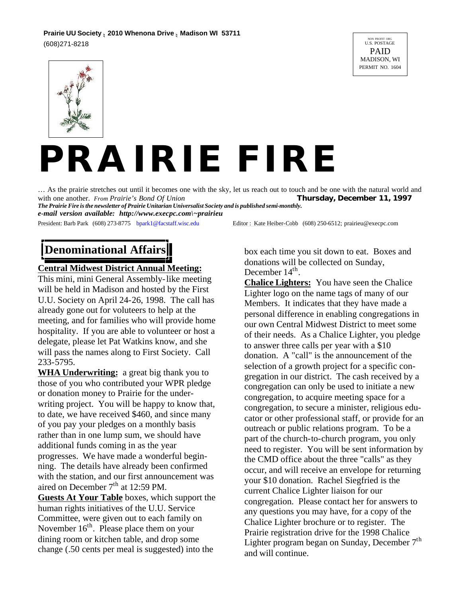## **Prairie UU Society n 2010 Whenona Drive n Madison WI 53711**

(608)271-8218





# *PRAIRIE FIRE*

… As the prairie stretches out until it becomes one with the sky, let us reach out to touch and be one with the natural world and with one another. *From Prairie's Bond Of Union* Thursday, December 11, 1997

*The Prairie Fire is the newsletter of Prairie Unitarian Universalist Society and is published semi-monthly. e-mail version available: http://www.execpc.com\~prairieu*

President: Barb Park (608) 273-8775 bpark1@facstaff.wisc.edu Editor: Kate Heiber-Cobb (608) 250-6512; prairieu@execpc.com

## **Denominational Affairs**

#### **Central Midwest District Annual Meeting:**

This mini, mini General Assembly-like meeting will be held in Madison and hosted by the First U.U. Society on April 24-26, 1998. The call has already gone out for voluteers to help at the meeting, and for families who will provide home hospitality. If you are able to volunteer or host a delegate, please let Pat Watkins know, and she will pass the names along to First Society. Call 233-5795.

**WHA Underwriting:** a great big thank you to those of you who contributed your WPR pledge or donation money to Prairie for the underwriting project. You will be happy to know that, to date, we have received \$460, and since many of you pay your pledges on a monthly basis rather than in one lump sum, we should have additional funds coming in as the year progresses. We have made a wonderful beginning. The details have already been confirmed with the station, and our first announcement was aired on December  $7<sup>th</sup>$  at 12:59 PM.

**Guests At Your Table** boxes, which support the human rights initiatives of the U.U. Service Committee, were given out to each family on November  $16^{th}$ . Please place them on your dining room or kitchen table, and drop some change (.50 cents per meal is suggested) into the

box each time you sit down to eat. Boxes and donations will be collected on Sunday, December 14<sup>th</sup>.

**Chalice Lighters:** You have seen the Chalice Lighter logo on the name tags of many of our Members. It indicates that they have made a personal difference in enabling congregations in our own Central Midwest District to meet some of their needs. As a Chalice Lighter, you pledge to answer three calls per year with a \$10 donation. A "call" is the announcement of the selection of a growth project for a specific congregation in our district. The cash received by a congregation can only be used to initiate a new congregation, to acquire meeting space for a congregation, to secure a minister, religious educator or other professional staff, or provide for an outreach or public relations program. To be a part of the church-to-church program, you only need to register. You will be sent information by the CMD office about the three "calls" as they occur, and will receive an envelope for returning your \$10 donation. Rachel Siegfried is the current Chalice Lighter liaison for our congregation. Please contact her for answers to any questions you may have, for a copy of the Chalice Lighter brochure or to register. The Prairie registration drive for the 1998 Chalice Lighter program began on Sunday, December  $7<sup>th</sup>$ and will continue.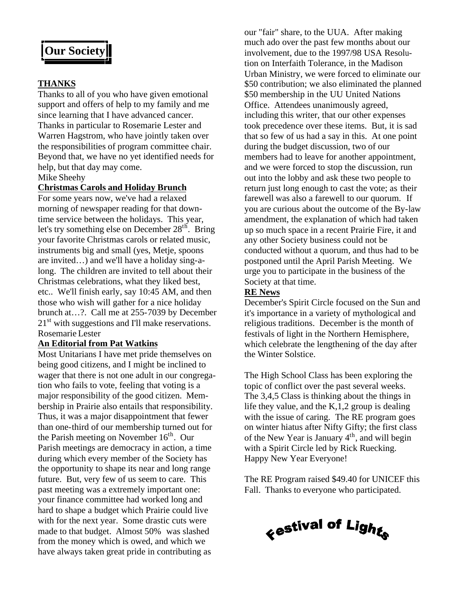## **Our Society**

#### **THANKS**

Thanks to all of you who have given emotional support and offers of help to my family and me since learning that I have advanced cancer. Thanks in particular to Rosemarie Lester and Warren Hagstrom, who have jointly taken over the responsibilities of program committee chair. Beyond that, we have no yet identified needs for help, but that day may come.

Mike Sheehy

#### **Christmas Carols and Holiday Brunch**

For some years now, we've had a relaxed morning of newspaper reading for that downtime service between the holidays. This year, let's try something else on December 28<sup>th</sup>. Bring your favorite Christmas carols or related music, instruments big and small (yes, Metje, spoons are invited…) and we'll have a holiday sing-along. The children are invited to tell about their Christmas celebrations, what they liked best, etc.. We'll finish early, say 10:45 AM, and then those who wish will gather for a nice holiday brunch at…?. Call me at 255-7039 by December  $21<sup>st</sup>$  with suggestions and I'll make reservations. Rosemarie Lester

#### **An Editorial from Pat Watkins**

Most Unitarians I have met pride themselves on being good citizens, and I might be inclined to wager that there is not one adult in our congregation who fails to vote, feeling that voting is a major responsibility of the good citizen. Membership in Prairie also entails that responsibility. Thus, it was a major disappointment that fewer than one-third of our membership turned out for the Parish meeting on November 16<sup>th</sup>. Our Parish meetings are democracy in action, a time during which every member of the Society has the opportunity to shape its near and long range future. But, very few of us seem to care. This past meeting was a extremely important one: your finance committee had worked long and hard to shape a budget which Prairie could live with for the next year. Some drastic cuts were made to that budget. Almost 50% was slashed from the money which is owed, and which we have always taken great pride in contributing as

our "fair" share, to the UUA. After making much ado over the past few months about our involvement, due to the 1997/98 USA Resolution on Interfaith Tolerance, in the Madison Urban Ministry, we were forced to eliminate our \$50 contribution; we also eliminated the planned \$50 membership in the UU United Nations Office. Attendees unanimously agreed, including this writer, that our other expenses took precedence over these items. But, it is sad that so few of us had a say in this. At one point during the budget discussion, two of our members had to leave for another appointment, and we were forced to stop the discussion, run out into the lobby and ask these two people to return just long enough to cast the vote; as their farewell was also a farewell to our quorum. If you are curious about the outcome of the By-law amendment, the explanation of which had taken up so much space in a recent Prairie Fire, it and any other Society business could not be conducted without a quorum, and thus had to be postponed until the April Parish Meeting. We urge you to participate in the business of the Society at that time.

#### **RE News**

December's Spirit Circle focused on the Sun and it's importance in a variety of mythological and religious traditions. December is the month of festivals of light in the Northern Hemisphere, which celebrate the lengthening of the day after the Winter Solstice.

The High School Class has been exploring the topic of conflict over the past several weeks. The 3,4,5 Class is thinking about the things in life they value, and the K,1,2 group is dealing with the issue of caring. The RE program goes on winter hiatus after Nifty Gifty; the first class of the New Year is January 4<sup>th</sup>, and will begin with a Spirit Circle led by Rick Ruecking. Happy New Year Everyone!

The RE Program raised \$49.40 for UNICEF this Fall. Thanks to everyone who participated.

<sub>ぐ</sub>estival of Ligh<sub>ts</sub>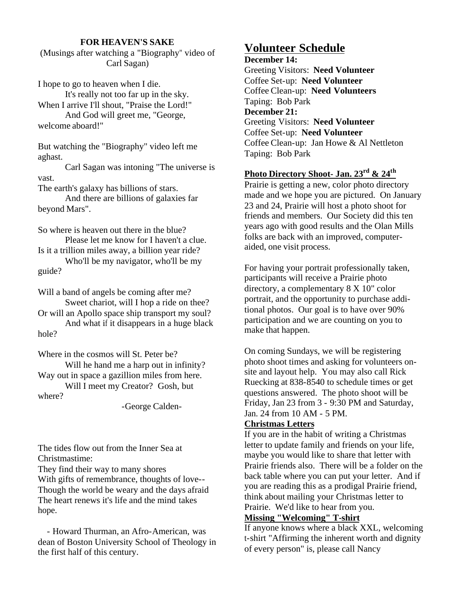#### **FOR HEAVEN'S SAKE**

(Musings after watching a "Biography" video of Carl Sagan)

I hope to go to heaven when I die. It's really not too far up in the sky. When I arrive I'll shout, "Praise the Lord!" And God will greet me, "George, welcome aboard!"

But watching the "Biography" video left me aghast.

Carl Sagan was intoning "The universe is vast.

The earth's galaxy has billions of stars.

And there are billions of galaxies far beyond Mars".

So where is heaven out there in the blue? Please let me know for I haven't a clue. Is it a trillion miles away, a billion year ride? Who'll be my navigator, who'll be my guide?

Will a band of angels be coming after me? Sweet chariot, will I hop a ride on thee? Or will an Apollo space ship transport my soul? And what if it disappears in a huge black hole?

Where in the cosmos will St. Peter be? Will he hand me a harp out in infinity? Way out in space a gazillion miles from here.

Will I meet my Creator? Gosh, but where?

-George Calden-

The tides flow out from the Inner Sea at Christmastime:

They find their way to many shores With gifts of remembrance, thoughts of love-- Though the world be weary and the days afraid The heart renews it's life and the mind takes hope.

 - Howard Thurman, an Afro-American, was dean of Boston University School of Theology in the first half of this century.

#### **Volunteer Schedule**

**December 14:** Greeting Visitors: **Need Volunteer** Coffee Set-up: **Need Volunteer** Coffee Clean-up: **Need Volunteers** Taping: Bob Park **December 21:** Greeting Visitors: **Need Volunteer** Coffee Set-up: **Need Volunteer** Coffee Clean-up: Jan Howe & Al Nettleton Taping: Bob Park

### **Photo Directory Shoot- Jan. 23rd & 24th**

Prairie is getting a new, color photo directory made and we hope you are pictured. On January 23 and 24, Prairie will host a photo shoot for friends and members. Our Society did this ten years ago with good results and the Olan Mills folks are back with an improved, computeraided, one visit process.

For having your portrait professionally taken, participants will receive a Prairie photo directory, a complementary 8 X 10" color portrait, and the opportunity to purchase additional photos. Our goal is to have over 90% participation and we are counting on you to make that happen.

On coming Sundays, we will be registering photo shoot times and asking for volunteers onsite and layout help. You may also call Rick Ruecking at 838-8540 to schedule times or get questions answered. The photo shoot will be Friday, Jan 23 from 3 - 9:30 PM and Saturday, Jan. 24 from 10 AM - 5 PM.

#### **Christmas Letters**

If you are in the habit of writing a Christmas letter to update family and friends on your life, maybe you would like to share that letter with Prairie friends also. There will be a folder on the back table where you can put your letter. And if you are reading this as a prodigal Prairie friend, think about mailing your Christmas letter to Prairie. We'd like to hear from you.

#### **Missing "Welcoming" T-shirt**

If anyone knows where a black XXL, welcoming t-shirt "Affirming the inherent worth and dignity of every person" is, please call Nancy